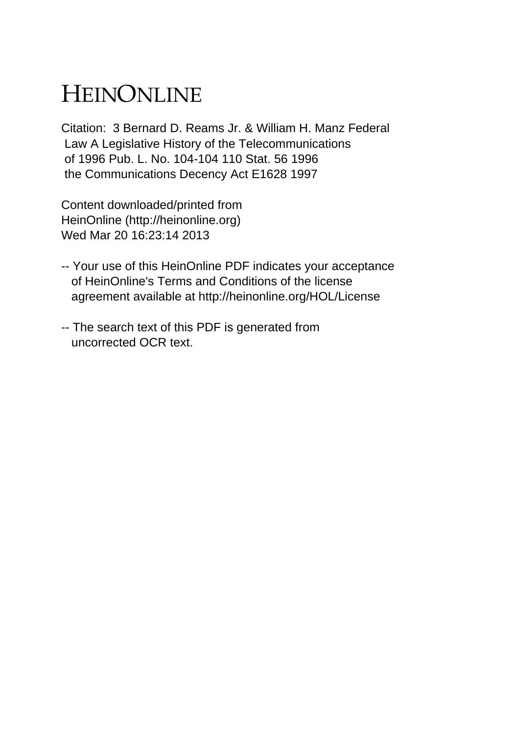## HEINONLINE

Citation: 3 Bernard D. Reams Jr. & William H. Manz Federal Law A Legislative History of the Telecommunications of 1996 Pub. L. No. 104-104 110 Stat. 56 1996 the Communications Decency Act E1628 1997

Content downloaded/printed from HeinOnline (http://heinonline.org) Wed Mar 20 16:23:14 2013

- -- Your use of this HeinOnline PDF indicates your acceptance of HeinOnline's Terms and Conditions of the license agreement available at http://heinonline.org/HOL/License
- -- The search text of this PDF is generated from uncorrected OCR text.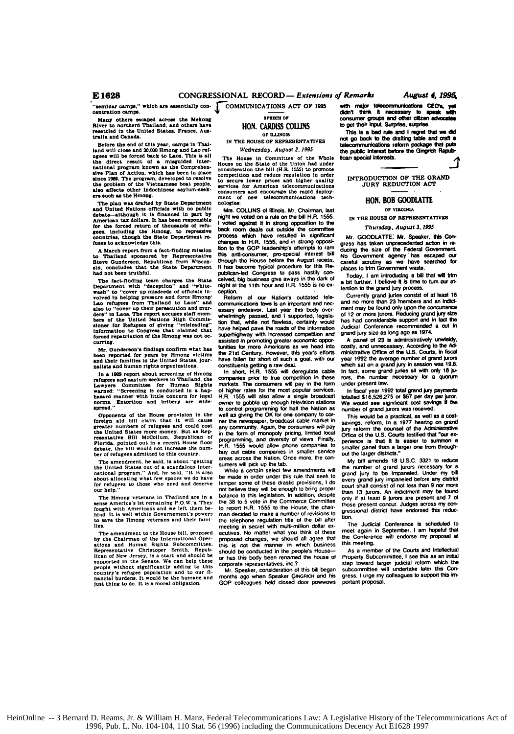seminar camps." which are essentially concentration camps.

Many others escaped across the Mekong<br>River to northern Thailand, and others have<br>resettled in the United States, France, Australia and Canada.

Before the end of this year, camps in Thai-<br>land will close and 30,000 Hmong and Lao refugees will be forced back to Laos. This is all<br>the direct result of a misguided interthe direct result of a misguided inter-<br>hational program known as the Comprehenmational program above as the composite site Plan of Action, which has been in place<br>since 1989. The program, developed to resolve<br>the problem of the Vietnamese boat people. alan affects other Indochinese asylum-seekers such as the Hmong.

ers such as the Hmong.<br>The plan was drafted by State Department<br>and United Nations officials with no public<br>debate-although it is financed in part by<br>American tax dollars. It has been responsible<br>for the forced return of t

A March report from a fact-finding mission A matter report from a saccretive of the Thailand sponsored by Representative<br>Steve Gunderson, Republican from Wisconsin, concludes that the State Department had not been truthful.

had not been truthful.<br>The fact-fluding team charges the State<br>Department with "deception" and "white-wolved in helping pressure and force Hmong'<br>wolved in helping pressure and force Hmong'<br>Lao rehyeses from Thalland to La curring.

Mr. Gunderson's findings confirm what has<br>been reported for years by Hmong victims<br>and their families in the United States, journalists and human rights organizations

usine and unioning the and union of Honog<br>refugees and asylum-seekers in Thailand, the<br>Lawyers Committee for Himnan Rights<br>warned: "Screening is conducted in a hap-<br>hazard manner with little concern for legal<br>norms. Extort

Opponents of the House provision in the foreign aid bill claim that it will cause<br>greater numbers of refugees and could cost greater numbers of refugees and could cost<br>the United States more money. But as Repthe United States more money. But as rep-<br>resentative Bill McCollum, Republican of<br>Florida, pointed out in a recent House floor<br>debate, the bill would not increase the number of refugees admitted to this country.

The amendment, he said, is about "getting The United States out of a scandalous inter-<br>the United States out of a scandalous inter-<br>national program." And, he said, "It is also<br>about allocating what few spaces we do have efugees to those who need and deserve our hein.

The Hmong veterans in Thailand are in a sense America's lat remaining P.O.W.'s. They<br>fought with Americans and we left them be-<br>hind. It is well within Government's powers to save the Hmong veterans and their fami-

**Th** e amendment to the House bill, proposed The amenoment to the House bin, proposer<br>by the Chairman of the International Oper-<br>ations and Human Rights Subcommittee.<br>Representative Christoper Smith, Repub-<br>Henry Henry Henry Hotel and Should be<br>supported in the Senat supported in the Senate. We can study that country's refugee population and to our financial burdens. It would be the humane and just thing to do. It is a moral obligation.

**BPRECH OF** HON. CARDISS COLLINS OF ILLINOIS

IN THE HOUSE OF REPRESENTATIVES Wednesday, August 2, 1995

The House in Committee of the Whole<br>House on the State of the Union had under<br>consideration the bill (H.R. 1555) to promote competition and reduce regulation in order<br>to secure lower prices and higher quality<br>services for American telecommunications<br>consumers and encourage the rapid deployof new telecommunications ment nologies:

Mrs. COLLINS of Hlinois. Mr. Chairman, last night we voted on a rule on the bill H.R. 1555. voted against it in strong opposition to the back room deals cut outside the committee process which have resulted in significant changes to H.R. 1555, and in strong opposition to the GOP leadership's attempts to ram this anti-consumer, pro-special interest bill through the House before the August recess. It has become typical procedure for this Republican-led Congress to pass hastily conceived, big business give aways in the dark of<br>night at the 11th hour and H.R. 1555 is no exception.

Beform of our Nation's outdated telecommunications taws is an important and necessary endeavor. Last year this body over-<br>whelmingly passed, and I supported, legislation that, while not flawless, certainly would have helped pave the roads of the information superhighway with increased competition and<br>assisted in promoting greater economic opportunities for more Americans as we head into<br>the 21st Century. However, this year's efforts the zeal that short of such a goal, with our<br>constituents getting a raw deal.<br>In short, H.R. 1555 will deregulate cable

companies prior to true competition in these markets. The consumers will pay in the form of higher rates for the most popular services 1555 will also allow a single broadcast owner to gobble up enough television stations<br>to control programming for half the Nation as<br>well as giving the OK for one company to corner the newspaper, broadcast cable market in any community. Again, the consumers will pay<br>in the form of monopoly pricing, limited local programming, and diversity of views. Finally,<br>H.R. 1555 would allow phone companies to buy out cable companies in smaller service areas across the Nation. Once more, the consumers will pick up the tab.

While a certain select few amendments will be made in order under this rule that seek to<br>temper some of these drastic provisions, I do not believe they will be enough to bring proper balance to this legislation. In addition, despite the 38 to 5 vote in the Commerce Committee<br>to report H.R. 1555 to the House, the chairman decided to make a number of revisions to the telephone regulation title of the bill after<br>meeting in secret with multi-million dollar executives. No matter what you think of these proposed changes, we should all agree that this is not the manner in which business<br>should be conducted in the people's Houseor has this body been renamed the house of corporate representatives, inc.?

Mr. Speaker, consideration of this bill began months ago when Speaker GINGRICH and his<br>GOP colleagues held closed door powwows

with major telecommunications CEO's, yet didn't think it necessary to speak will to get their input. Surprise, surprise.

This is a bad rule and I regret that n dri not go back to the drafting table and craft a communications reform package that puts the public interest before the Gingrich Repub-**Bcan** special interests.

INTRODUCTION OF THE GRAND<br>JURY REDUCTION ACT

## HON. BOB GOODLATTE

OF VIRGINIA

IN THE HOUSE OF REPRESENTATIVES

## Thursday, August 3, 1995

Mr. GOODLATTE: Mr. Speaker, this Con-<br>gress has taken unprecedented action in reducing the size of the Federal Government. No Government agency has escaped our careful scrutiny as we have searched for nlaces to trim Government waste.

Today, I am introducing a bill that will trim<br>a bit further. I believe it is time to turn our atntion to the grand jury process.

Currently grand juries consist of at least 16<br>and no more than 23 members and an indictment may be found only upon the concurrence of 12 or more jurors. Reducing grand jury size has had considerable support and in fact the<br>Judicial Conference recommended a cut in grand jury size as long ago as 1974.

A panel of 23 is administratively unwisidy costly, and unnecessary. According to the Administrative Office of the U.S. Courts, in fiscal year 1992 the average number of grand jurors<br>which sat on a grand jury in session was 19.8.<br>In fact, some grand juries sit with only 16 jurors, the number necessary for a quorum under present law.

In fiscal year 1992 total grand jury payments<br>totalled \$16,526,275 or \$67 per day per juror.<br>We would see significant cost savings if the number of grand jurors was received.

This would be a practical, as well as a cost-<br>savings, reform, In a 1977 hearing on grand<br>jury reform the counsel of the Administrative Office of the U.S. Courts testified that "our experience is that it is easier to sursmaller panel than a larger one from throughout the larger districts."

My bill amends 18 U.S.C. 3321 to reduce the number of grand jurors necessary for a<br>grand jury to be impaneled. Under my bill every gra d jury impaneled before any district court shall consist of not less than 9 nor more than 13 jurors. An indictment may be found only if at least 9 jurors are present and 7 of those present concur. Judges across my congressional district have endorsed this reduction.

The Judicial Conference is scheduled to meet again in September. I am hopeful that<br>the Conference will endorse my proposal at this meeting.

As a member of the Courts and Intellectual Property Subcommittee, I see this as an initial step toward larger judicial reform which the subcommittee will undertake later this Congress. I urge my colleagues to support this important proposal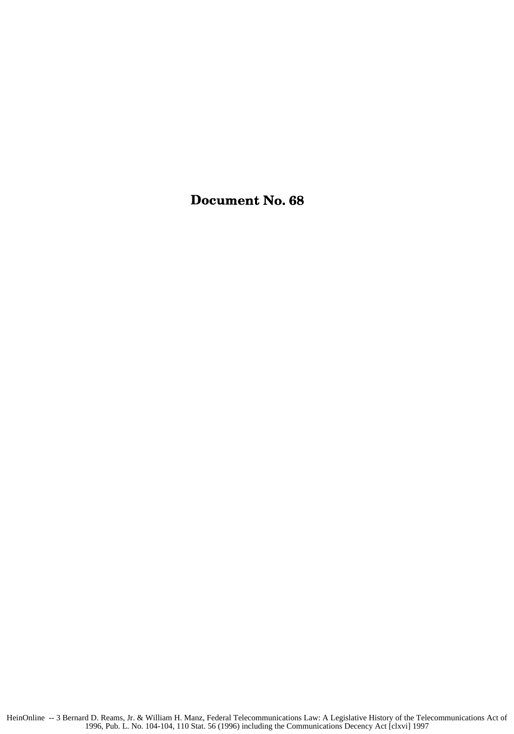Document No. **68**